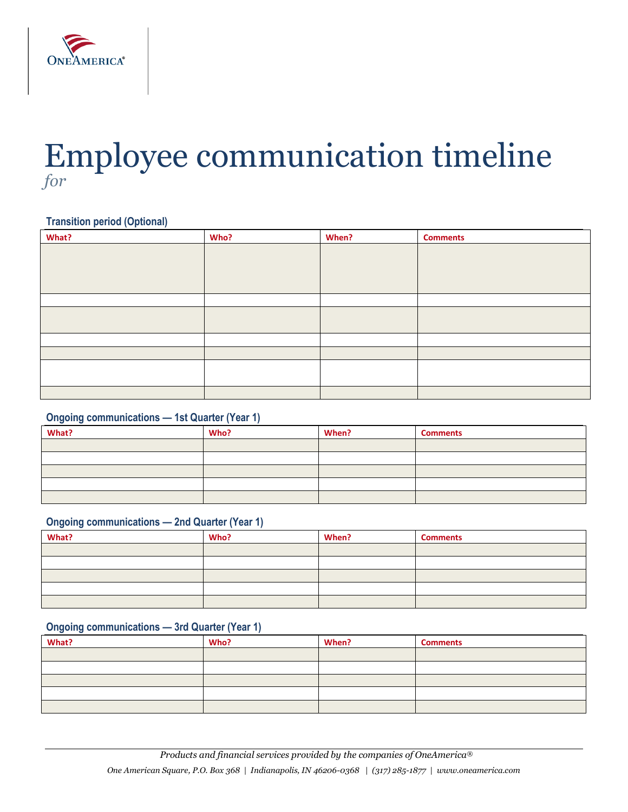

# Employee communication timeline *for*

## **Transition period (Optional)**

| What? | Who? | When? | <b>Comments</b> |
|-------|------|-------|-----------------|
|       |      |       |                 |
|       |      |       |                 |
|       |      |       |                 |
|       |      |       |                 |
|       |      |       |                 |
|       |      |       |                 |
|       |      |       |                 |
|       |      |       |                 |
|       |      |       |                 |
|       |      |       |                 |
|       |      |       |                 |
|       |      |       |                 |

## **Ongoing communications — 1st Quarter (Year 1)**

| What? | Who? | When? | <b>Comments</b> |
|-------|------|-------|-----------------|
|       |      |       |                 |
|       |      |       |                 |
|       |      |       |                 |
|       |      |       |                 |
|       |      |       |                 |

### **Ongoing communications — 2nd Quarter (Year 1)**

| What? | Who? | When? | <b>Comments</b> |
|-------|------|-------|-----------------|
|       |      |       |                 |
|       |      |       |                 |
|       |      |       |                 |
|       |      |       |                 |
|       |      |       |                 |

## **Ongoing communications — 3rd Quarter (Year 1)**

| What? | Who? | When? | <b>Comments</b> |
|-------|------|-------|-----------------|
|       |      |       |                 |
|       |      |       |                 |
|       |      |       |                 |
|       |      |       |                 |
|       |      |       |                 |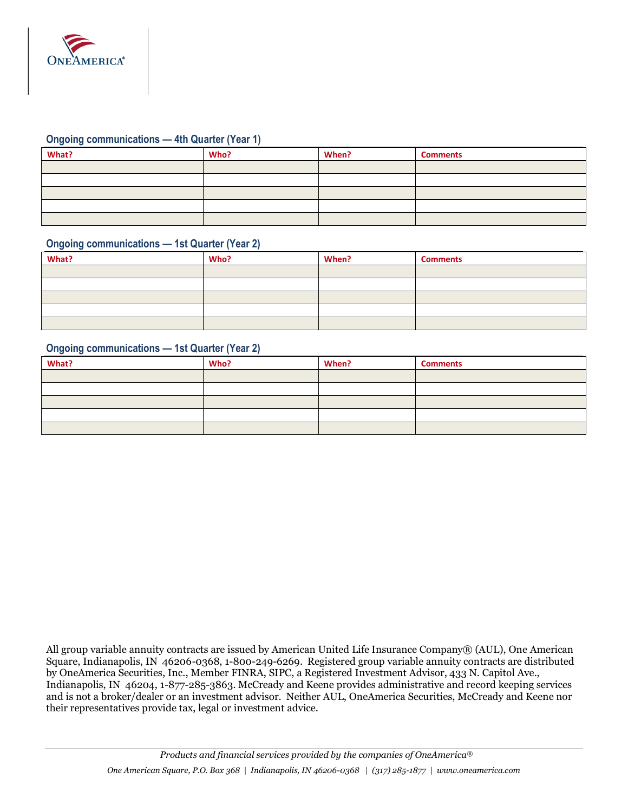

#### **Ongoing communications — 4th Quarter (Year 1)**

| What? | Who? | When? | <b>Comments</b> |
|-------|------|-------|-----------------|
|       |      |       |                 |
|       |      |       |                 |
|       |      |       |                 |
|       |      |       |                 |
|       |      |       |                 |

#### **Ongoing communications — 1st Quarter (Year 2)**

| What? | Who? | When? | <b>Comments</b> |
|-------|------|-------|-----------------|
|       |      |       |                 |
|       |      |       |                 |
|       |      |       |                 |
|       |      |       |                 |
|       |      |       |                 |

#### **Ongoing communications — 1st Quarter (Year 2)**

| What? | Who? | When? | <b>Comments</b> |
|-------|------|-------|-----------------|
|       |      |       |                 |
|       |      |       |                 |
|       |      |       |                 |
|       |      |       |                 |
|       |      |       |                 |

 All group variable annuity contracts are issued by American United Life Insurance Company® (AUL), One American Square, Indianapolis, IN 46206-0368, 1-800-249-6269. Registered group variable annuity contracts are distributed by OneAmerica Securities, Inc., Member FINRA, SIPC, a Registered Investment Advisor, 433 N. Capitol Ave., Indianapolis, IN 46204, 1-877-285-3863. McCready and Keene provides administrative and record keeping services and is not a broker/dealer or an investment advisor. Neither AUL, OneAmerica Securities, McCready and Keene nor their representatives provide tax, legal or investment advice.